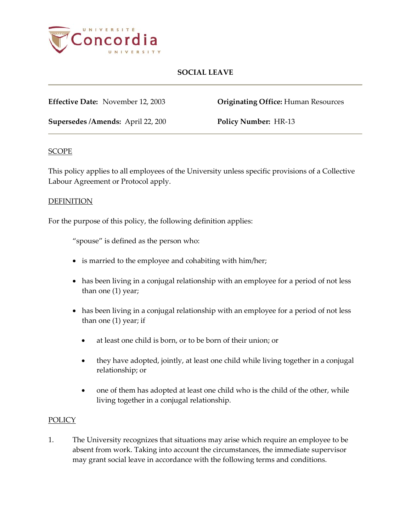

**Effective Date:** November 12, 2003 **Originating Office:** Human Resources

**Supersedes /Amends:** April 22, 200 **Policy Number:** HR-13

## **SCOPE**

This policy applies to all employees of the University unless specific provisions of a Collective Labour Agreement or Protocol apply.

#### DEFINITION

For the purpose of this policy, the following definition applies:

"spouse" is defined as the person who:

- is married to the employee and cohabiting with him/her;
- has been living in a conjugal relationship with an employee for a period of not less than one (1) year;
- has been living in a conjugal relationship with an employee for a period of not less than one (1) year; if
	- at least one child is born, or to be born of their union; or
	- they have adopted, jointly, at least one child while living together in a conjugal relationship; or
	- one of them has adopted at least one child who is the child of the other, while living together in a conjugal relationship.

## **POLICY**

1. The University recognizes that situations may arise which require an employee to be absent from work. Taking into account the circumstances, the immediate supervisor may grant social leave in accordance with the following terms and conditions.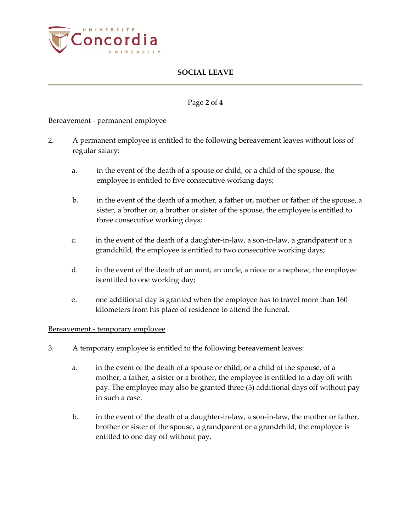

## Page **2** of **4**

## Bereavement - permanent employee

- 2. A permanent employee is entitled to the following bereavement leaves without loss of regular salary:
	- a. in the event of the death of a spouse or child, or a child of the spouse, the employee is entitled to five consecutive working days;
	- b. in the event of the death of a mother, a father or, mother or father of the spouse, a sister, a brother or, a brother or sister of the spouse, the employee is entitled to three consecutive working days;
	- c. in the event of the death of a daughter-in-law, a son-in-law, a grandparent or a grandchild*,* the employee is entitled to two consecutive working days;
	- d. in the event of the death of an aunt, an uncle, a niece or a nephew, the employee is entitled to one working day;
	- e. one additional day is granted when the employee has to travel more than 160 kilometers from his place of residence to attend the funeral.

## Bereavement - temporary employee

- 3. A temporary employee is entitled to the following bereavement leaves:
	- a. in the event of the death of a spouse or child, or a child of the spouse, of a mother, a father, a sister or a brother, the employee is entitled to a day off with pay. The employee may also be granted three (3) additional days off without pay in such a case.
	- b. in the event of the death of a daughter-in-law, a son-in-law, the mother or father, brother or sister of the spouse*,* a grandparent or a grandchild, the employee is entitled to one day off without pay.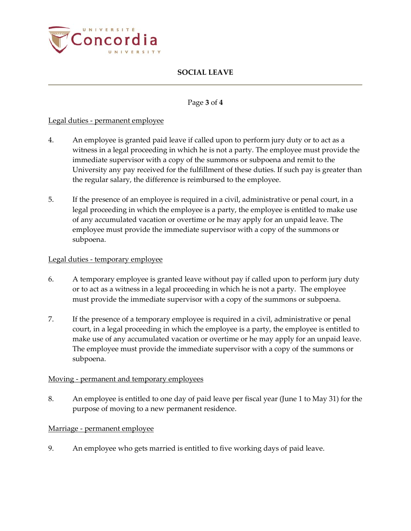

#### Page **3** of **4**

## Legal duties - permanent employee

- 4. An employee is granted paid leave if called upon to perform jury duty or to act as a witness in a legal proceeding in which he is not a party. The employee must provide the immediate supervisor with a copy of the summons or subpoena and remit to the University any pay received for the fulfillment of these duties. If such pay is greater than the regular salary, the difference is reimbursed to the employee.
- 5. If the presence of an employee is required in a civil, administrative or penal court, in a legal proceeding in which the employee is a party, the employee is entitled to make use of any accumulated vacation or overtime or he may apply for an unpaid leave. The employee must provide the immediate supervisor with a copy of the summons or subpoena.

#### Legal duties - temporary employee

- 6. A temporary employee is granted leave without pay if called upon to perform jury duty or to act as a witness in a legal proceeding in which he is not a party. The employee must provide the immediate supervisor with a copy of the summons or subpoena.
- 7. If the presence of a temporary employee is required in a civil, administrative or penal court, in a legal proceeding in which the employee is a party, the employee is entitled to make use of any accumulated vacation or overtime or he may apply for an unpaid leave. The employee must provide the immediate supervisor with a copy of the summons or subpoena.

## Moving - permanent and temporary employees

8. An employee is entitled to one day of paid leave per fiscal year (June 1 to May 31) for the purpose of moving to a new permanent residence.

#### Marriage - permanent employee

9. An employee who gets married is entitled to five working days of paid leave.